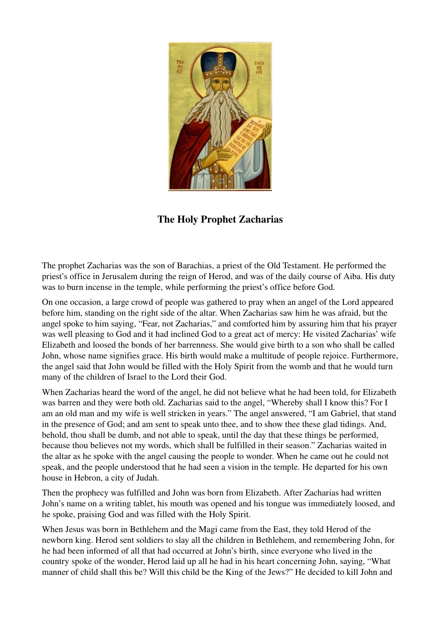

The Holy Prophet Zacharias

The prophet Zacharias was the son of Barachias, a priest of the Old Testament. He performed the priest's office in Jerusalem during the reign of Herod, and was of the daily course of Aiba. His duty was to burn incense in the temple, while performing the priest's office before God.

On one occasion, a large crowd of people was gathered to pray when an angel of the Lord appeared before him, standing on the right side of the altar. When Zacharias saw him he was afraid, but the angel spoke to him saying, "Fear, not Zacharias," and comforted him by assuring him that his prayer was well pleasing to God and it had inclined God to a great act of mercy: He visited Zacharias' wife Elizabeth and loosed the bonds of her barrenness. She would give birth to a son who shall be called John, whose name signifies grace. His birth would make a multitude of people rejoice. Furthermore, the angel said that John would be filled with the Holy Spirit from the womb and that he would turn many of the children of Israel to the Lord their God.

When Zacharias heard the word of the angel, he did not believe what he had been told, for Elizabeth was barren and they were both old. Zacharias said to the angel, "Whereby shall I know this? For I am an old man and my wife is well stricken in years." The angel answered, "I am Gabriel, that stand in the presence of God; and am sent to speak unto thee, and to show thee these glad tidings. And, behold, thou shall be dumb, and not able to speak, until the day that these things be performed, because thou believes not my words, which shall be fulfilled in their season." Zacharias waited in the altar as he spoke with the angel causing the people to wonder. When he came out he could not speak, and the people understood that he had seen a vision in the temple. He departed for his own house in Hebron, a city of Judah.

Then the prophecy was fulfilled and John was born from Elizabeth. After Zacharias had written John's name on a writing tablet, his mouth was opened and his tongue was immediately loosed, and he spoke, praising God and was filled with the Holy Spirit.

When Jesus was born in Bethlehem and the Magi came from the East, they told Herod of the newborn king. Herod sent soldiers to slay all the children in Bethlehem, and remembering John, for he had been informed of all that had occurred at John's birth, since everyone who lived in the country spoke of the wonder, Herod laid up all he had in his heart concerning John, saying, "What manner of child shall this be? Will this child be the King of the Jews?" He decided to kill John and